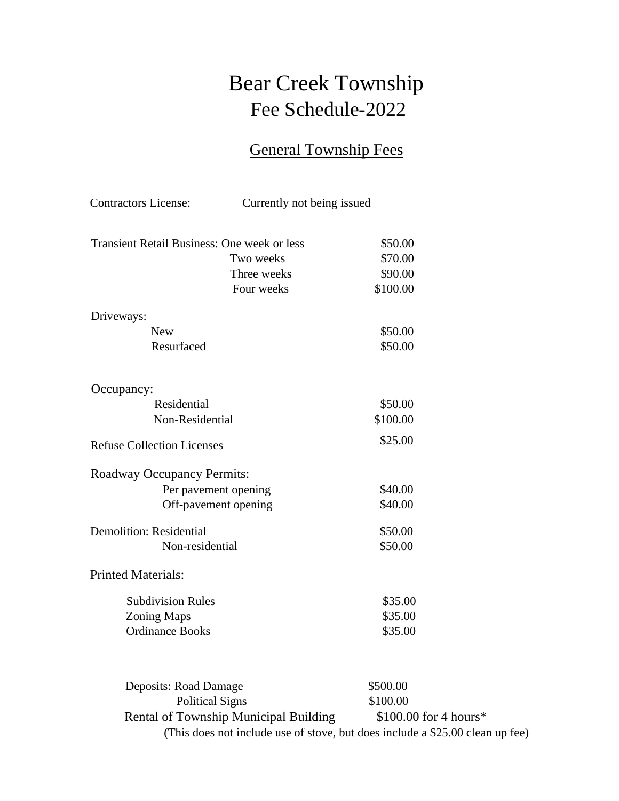# Bear Creek Township Fee Schedule-2022

## General Township Fees

| <b>Contractors License:</b>                        | Currently not being issued            |                                                                                                         |
|----------------------------------------------------|---------------------------------------|---------------------------------------------------------------------------------------------------------|
| <b>Transient Retail Business: One week or less</b> |                                       | \$50.00                                                                                                 |
|                                                    | Two weeks                             | \$70.00                                                                                                 |
|                                                    | Three weeks                           | \$90.00                                                                                                 |
|                                                    | Four weeks                            | \$100.00                                                                                                |
| Driveways:                                         |                                       |                                                                                                         |
| <b>New</b>                                         |                                       | \$50.00                                                                                                 |
| Resurfaced                                         |                                       | \$50.00                                                                                                 |
| Occupancy:                                         |                                       |                                                                                                         |
| Residential                                        |                                       | \$50.00                                                                                                 |
| Non-Residential                                    |                                       | \$100.00                                                                                                |
| <b>Refuse Collection Licenses</b>                  |                                       | \$25.00                                                                                                 |
| <b>Roadway Occupancy Permits:</b>                  |                                       |                                                                                                         |
| Per pavement opening                               |                                       | \$40.00                                                                                                 |
|                                                    | Off-pavement opening                  | \$40.00                                                                                                 |
| <b>Demolition: Residential</b>                     |                                       | \$50.00                                                                                                 |
| Non-residential                                    |                                       | \$50.00                                                                                                 |
| <b>Printed Materials:</b>                          |                                       |                                                                                                         |
| <b>Subdivision Rules</b>                           |                                       | \$35.00                                                                                                 |
| <b>Zoning Maps</b>                                 |                                       | \$35.00                                                                                                 |
| <b>Ordinance Books</b>                             |                                       | \$35.00                                                                                                 |
|                                                    |                                       |                                                                                                         |
| Deposits: Road Damage                              |                                       | \$500.00                                                                                                |
| <b>Political Signs</b>                             |                                       | \$100.00                                                                                                |
|                                                    | Rental of Township Municipal Building | $$100.00$ for 4 hours*<br>(This does not include use of stove, but does include a \$25.00 clean up fee) |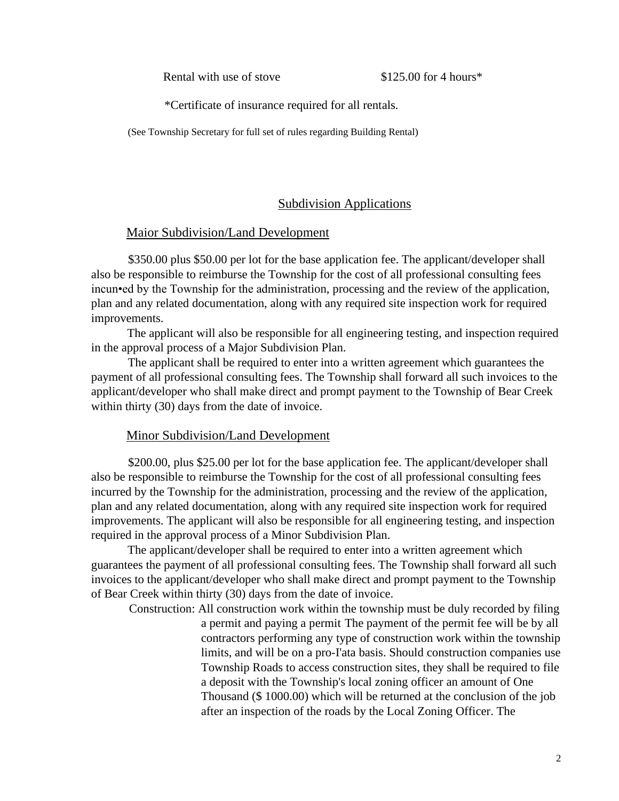Rental with use of stove \$125.00 for 4 hours\*

\*Certificate of insurance required for all rentals.

(See Township Secretary for full set of rules regarding Building Rental)

#### Subdivision Applications

#### Maior Subdivision/Land Development

\$350.00 plus \$50.00 per lot for the base application fee. The applicant/developer shall also be responsible to reimburse the Township for the cost of all professional consulting fees incun•ed by the Township for the administration, processing and the review of the application, plan and any related documentation, along with any required site inspection work for required improvements.

The applicant will also be responsible for all engineering testing, and inspection required in the approval process of a Major Subdivision Plan.

The applicant shall be required to enter into a written agreement which guarantees the payment of all professional consulting fees. The Township shall forward all such invoices to the applicant/developer who shall make direct and prompt payment to the Township of Bear Creek within thirty (30) days from the date of invoice.

#### Minor Subdivision/Land Development

\$200.00, plus \$25.00 per lot for the base application fee. The applicant/developer shall also be responsible to reimburse the Township for the cost of all professional consulting fees incurred by the Township for the administration, processing and the review of the application, plan and any related documentation, along with any required site inspection work for required improvements. The applicant will also be responsible for all engineering testing, and inspection required in the approval process of a Minor Subdivision Plan.

The applicant/developer shall be required to enter into a written agreement which guarantees the payment of all professional consulting fees. The Township shall forward all such invoices to the applicant/developer who shall make direct and prompt payment to the Township of Bear Creek within thirty (30) days from the date of invoice.

Construction: All construction work within the township must be duly recorded by filing a permit and paying a permit The payment of the permit fee will be by all contractors performing any type of construction work within the township limits, and will be on a pro-I'ata basis. Should construction companies use Township Roads to access construction sites, they shall be required to file a deposit with the Township's local zoning officer an amount of One Thousand (\$ 1000.00) which will be returned at the conclusion of the job after an inspection of the roads by the Local Zoning Officer. The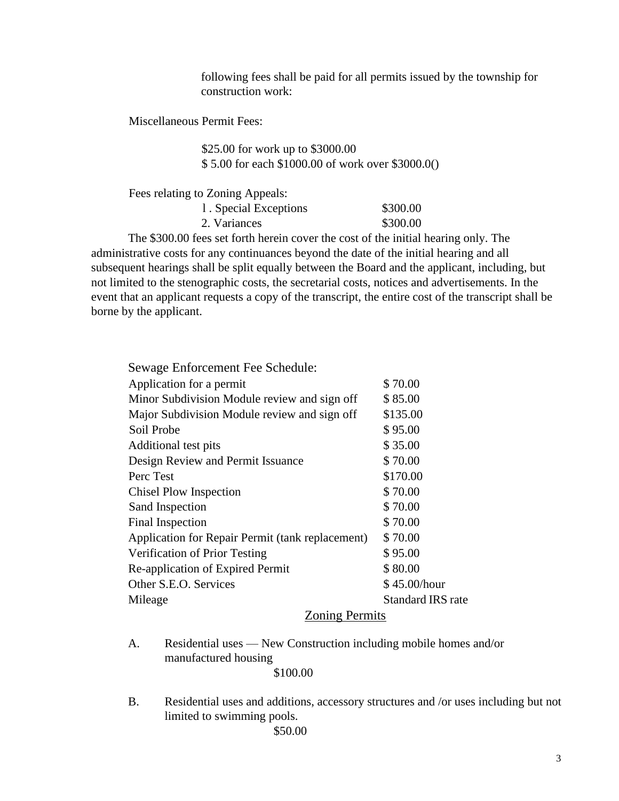following fees shall be paid for all permits issued by the township for construction work:

Miscellaneous Permit Fees:

\$25.00 for work up to \$3000.00 \$ 5.00 for each \$1000.00 of work over \$3000.0()

Fees relating to Zoning Appeals:

| 1. Special Exceptions | \$300.00 |
|-----------------------|----------|
| 2. Variances          | \$300.00 |

The \$300.00 fees set forth herein cover the cost of the initial hearing only. The administrative costs for any continuances beyond the date of the initial hearing and all subsequent hearings shall be split equally between the Board and the applicant, including, but not limited to the stenographic costs, the secretarial costs, notices and advertisements. In the event that an applicant requests a copy of the transcript, the entire cost of the transcript shall be borne by the applicant.

| Sewage Enforcement Fee Schedule:                 |                   |
|--------------------------------------------------|-------------------|
| Application for a permit                         | \$70.00           |
| Minor Subdivision Module review and sign off     | \$85.00           |
| Major Subdivision Module review and sign off     | \$135.00          |
| Soil Probe                                       | \$95.00           |
| Additional test pits                             | \$35.00           |
| Design Review and Permit Issuance                | \$70.00           |
| Perc Test                                        | \$170.00          |
| <b>Chisel Plow Inspection</b>                    | \$70.00           |
| Sand Inspection                                  | \$70.00           |
| Final Inspection                                 | \$70.00           |
| Application for Repair Permit (tank replacement) | \$70.00           |
| Verification of Prior Testing                    | \$95.00           |
| Re-application of Expired Permit                 | \$80.00           |
| Other S.E.O. Services                            | \$45.00/hour      |
| Mileage                                          | Standard IRS rate |
| <b>Zoning Permits</b>                            |                   |

- A. Residential uses New Construction including mobile homes and/or manufactured housing \$100.00
- B. Residential uses and additions, accessory structures and /or uses including but not limited to swimming pools.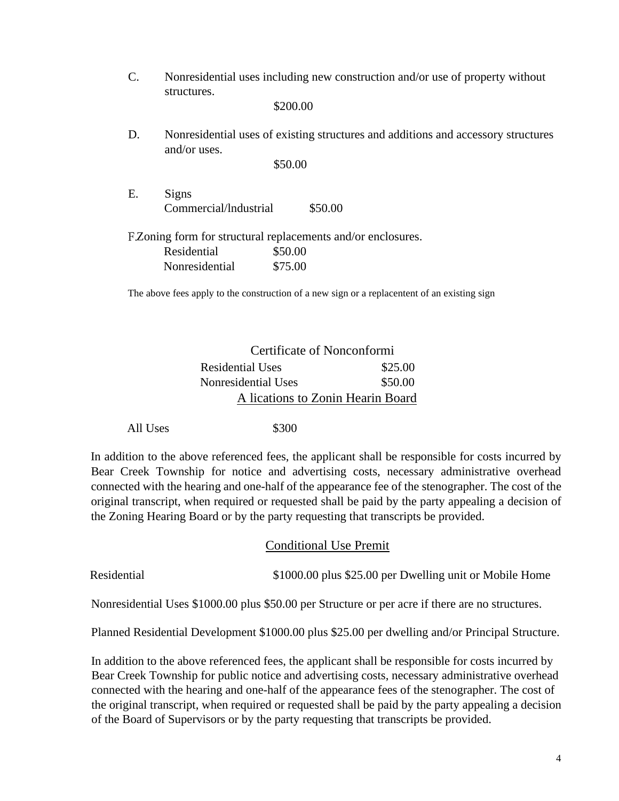C. Nonresidential uses including new construction and/or use of property without structures.

\$200.00

D. Nonresidential uses of existing structures and additions and accessory structures and/or uses.

\$50.00

E. Signs Commercial/lndustrial \$50.00

FZoning form for structural replacements and/or enclosures.

| Residential    | \$50.00 |
|----------------|---------|
| Nonresidential | \$75.00 |

The above fees apply to the construction of a new sign or a replacentent of an existing sign

### Certificate of Nonconformi Residential Uses \$25.00 Nonresidential Uses \$50.00 A lications to Zonin Hearin Board

All Uses \$300

In addition to the above referenced fees, the applicant shall be responsible for costs incurred by Bear Creek Township for notice and advertising costs, necessary administrative overhead connected with the hearing and one-half of the appearance fee of the stenographer. The cost of the original transcript, when required or requested shall be paid by the party appealing a decision of the Zoning Hearing Board or by the party requesting that transcripts be provided.

#### Conditional Use Premit

Residential \$1000.00 plus \$25.00 per Dwelling unit or Mobile Home

Nonresidential Uses \$1000.00 plus \$50.00 per Structure or per acre if there are no structures.

Planned Residential Development \$1000.00 plus \$25.00 per dwelling and/or Principal Structure.

In addition to the above referenced fees, the applicant shall be responsible for costs incurred by Bear Creek Township for public notice and advertising costs, necessary administrative overhead connected with the hearing and one-half of the appearance fees of the stenographer. The cost of the original transcript, when required or requested shall be paid by the party appealing a decision of the Board of Supervisors or by the party requesting that transcripts be provided.